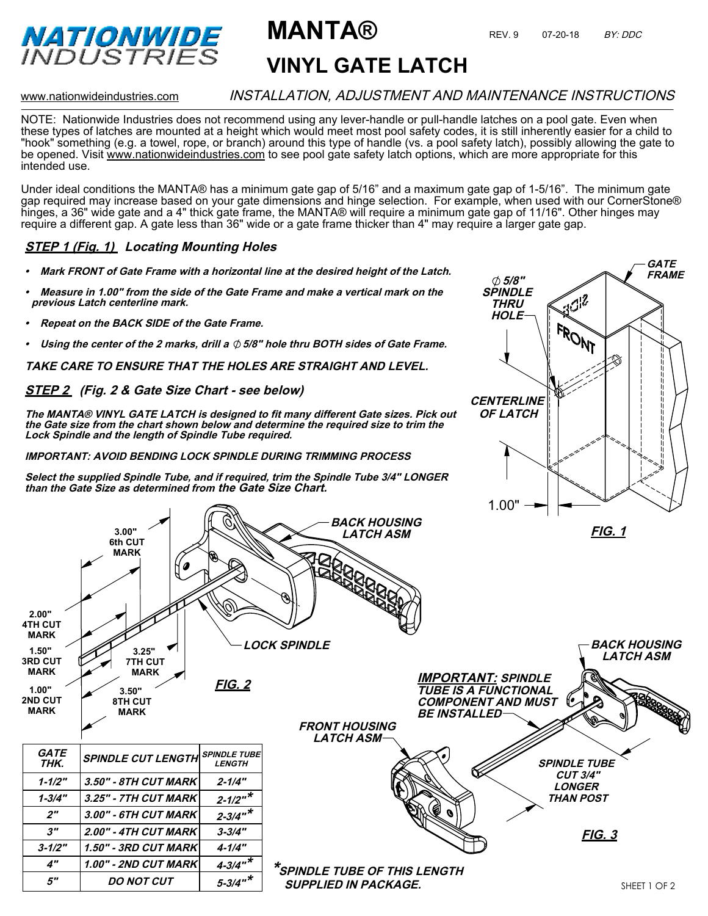

# $\mathbf{MANTA}$ <sup> $R$ </sup>

**FRAME 5/8"**

 $3^{12}$ 

**FROM** 

**GATE** 

## **VINYL GATE LATCH**

www.nationwideindustries.com INSTALLATION, ADJUSTMENT AND MAINTENANCE INSTRUCTIONS

**CENTERLINE OF LATCH**

**SPINDLE THRU HOLE**

NOTE: Nationwide Industries does not recommend using any lever-handle or pull-handle latches on a pool gate. Even when these types of latches are mounted at a height which would meet most pool safety codes, it is still inherently easier for a child to "hook" something (e.g. a towel, rope, or branch) around this type of handle (vs. a pool safety latch), possibly allowing the gate to be opened. Visit www.nationwideindustries.com to see pool gate safety latch options, which are more appropriate for this intended use.

Under ideal conditions the MANTA® has a minimum gate gap of 5/16" and a maximum gate gap of 1-5/16". The minimum gate gap required may increase based on your gate dimensions and hinge selection. For example, when used with our CornerStone® hinges, a 36" wide gate and a 4" thick gate frame, the MANTA® will require a minimum gate gap of 11/16". Other hinges may require a different gap. A gate less than 36" wide or a gate frame thicker than 4" may require a larger gate gap.

#### **STEP 1 (Fig. 1) Locating Mounting Holes**

- **• Mark FRONT of Gate Frame with a horizontal line at the desired height of the Latch.**
- **• Measure in 1.00" from the side of the Gate Frame and make a vertical mark on the previous Latch centerline mark.**
- **• Repeat on the BACK SIDE of the Gate Frame.**
- **• Using the center of the 2 marks, drill a 5/8" hole thru BOTH sides of Gate Frame.**

**TAKE CARE TO ENSURE THAT THE HOLES ARE STRAIGHT AND LEVEL.**

#### **STEP 2 (Fig. 2 & Gate Size Chart - see below)**

**The MANTA® VINYL GATE LATCH is designed to fit many different Gate sizes. Pick out the Gate size from the chart shown below and determine the required size to trim the Lock Spindle and the length of Spindle Tube required.**

#### **IMPORTANT: AVOID BENDING LOCK SPINDLE DURING TRIMMING PROCESS**

**Select the supplied Spindle Tube, and if required, trim the Spindle Tube 3/4" LONGER than the Gate Size as determined from the Gate Size Chart.**